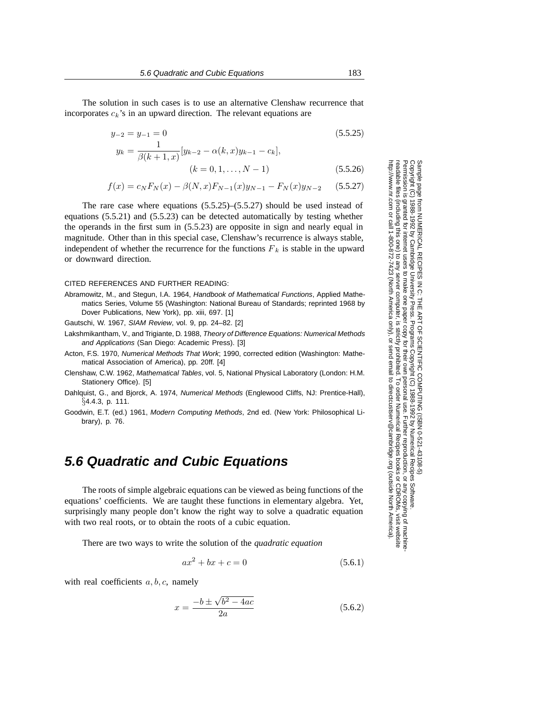The solution in such cases is to use an alternative Clenshaw recurrence that incorporates c*k*'s in an upward direction. The relevant equations are

$$
y_{-2} = y_{-1} = 0
$$
\n(5.5.25)\n  
\n
$$
y_{-2} = \frac{1}{\sqrt{2\pi}} \left[ y_{-2} - \alpha (k - x) y_{-2} - \alpha (k - x) y_{-2} \right]
$$

$$
y_k = \frac{}{\beta(k+1,x)} |y_{k-2} - \alpha(k,x)y_{k-1} - c_k|,
$$
  

$$
(k = 0, 1, ..., N - 1)
$$
 (5.5.26)

$$
f(x) = c_N F_N(x) - \beta(N, x) F_{N-1}(x) y_{N-1} - F_N(x) y_{N-2}
$$
 (5.5.27)

The rare case where equations (5.5.25)–(5.5.27) should be used instead of equations (5.5.21) and (5.5.23) can be detected automatically by testing whether the operands in the first sum in (5.5.23) are opposite in sign and nearly equal in magnitude. Other than in this special case, Clenshaw's recurrence is always stable, independent of whether the recurrence for the functions  $F_k$  is stable in the upward or downward direction.

## CITED REFERENCES AND FURTHER READING:

Abramowitz, M., and Stegun, I.A. 1964, Handbook of Mathematical Functions, Applied Mathematics Series, Volume 55 (Washington: National Bureau of Standards; reprinted 1968 by Dover Publications, New York), pp. xiii, 697. [1]

Gautschi, W. 1967, SIAM Review, vol. 9, pp. 24–82. [2]

- Lakshmikantham, V., and Trigiante, D. 1988, Theory of Difference Equations: Numerical Methods and Applications (San Diego: Academic Press). [3]
- Acton, F.S. 1970, Numerical Methods That Work; 1990, corrected edition (Washington: Mathematical Association of America), pp. 20ff. [4]
- Clenshaw, C.W. 1962, Mathematical Tables, vol. 5, National Physical Laboratory (London: H.M. Stationery Office). [5]
- Dahlquist, G., and Bjorck, A. 1974, Numerical Methods (Englewood Cliffs, NJ: Prentice-Hall), §4.4.3, p. 111.
- Goodwin, E.T. (ed.) 1961, Modern Computing Methods, 2nd ed. (New York: Philosophical Library), p. 76.

## **5.6 Quadratic and Cubic Equations**

The roots of simple algebraic equations can be viewed as being functions of the equations' coefficients. We are taught these functions in elementary algebra. Yet, surprisingly many people don't know the right way to solve a quadratic equation with two real roots, or to obtain the roots of a cubic equation.

There are two ways to write the solution of the *quadratic equation*

$$
ax^2 + bx + c = 0 \tag{5.6.1}
$$

with real coefficients  $a, b, c$ , namely

$$
x = \frac{-b \pm \sqrt{b^2 - 4ac}}{2a}
$$
 (5.6.2)

Permission is granted for internet users to make one paper copy for their own personal use. Further reproduction, or any copyin Copyright (C) 1988-1992 by Cambridge University Press.Programs Copyright (C) 1988-1992 by Numerical Recipes Software. Sample page from NUMERICAL RECIPES IN C: THE ART OF SCIENTIFIC COMPUTING (ISBN 0-521-43108-5) g of machinereadable files (including this one) to any servercomputer, is strictly prohibited. To order Numerical Recipes booksor CDROMs, visit website http://www.nr.com or call 1-800-872-7423 (North America only),or send email to directcustserv@cambridge.org (outside North America).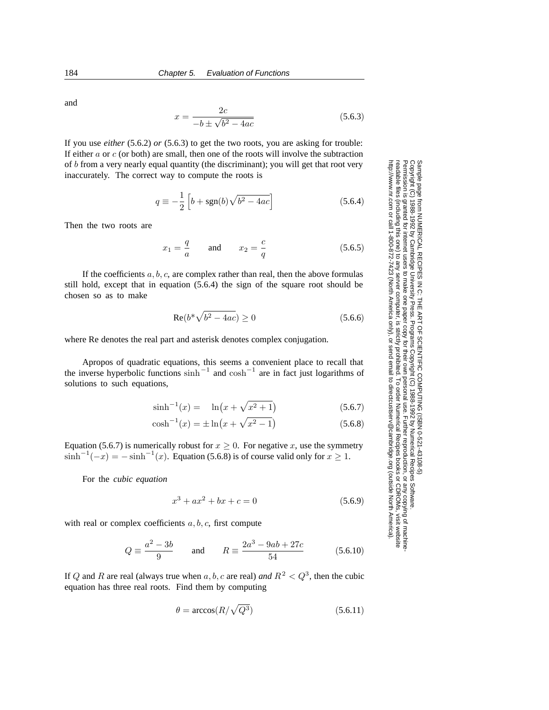and

$$
x = \frac{2c}{-b \pm \sqrt{b^2 - 4ac}}\tag{5.6.3}
$$

If you use *either* (5.6.2) *or* (5.6.3) to get the two roots, you are asking for trouble: If either  $a$  or  $c$  (or both) are small, then one of the roots will involve the subtraction of b from a very nearly equal quantity (the discriminant); you will get that root very inaccurately. The correct way to compute the roots is

$$
q \equiv -\frac{1}{2} \left[ b + \text{sgn}(b) \sqrt{b^2 - 4ac} \right]
$$
 (5.6.4)

Then the two roots are

$$
x_1 = \frac{q}{a} \qquad \text{and} \qquad x_2 = \frac{c}{q} \tag{5.6.5}
$$

If the coefficients  $a, b, c$ , are complex rather than real, then the above formulas still hold, except that in equation (5.6.4) the sign of the square root should be chosen so as to make

$$
\operatorname{Re}(b^*\sqrt{b^2 - 4ac}) \ge 0\tag{5.6.6}
$$

where Re denotes the real part and asterisk denotes complex conjugation.

Apropos of quadratic equations, this seems a convenient place to recall that the inverse hyperbolic functions  $\sinh^{-1}$  and  $\cosh^{-1}$  are in fact just logarithms of solutions to such equations,

$$
\sinh^{-1}(x) = \ln(x + \sqrt{x^2 + 1})
$$
\n(5.6.7)

$$
\cosh^{-1}(x) = \pm \ln\left(x + \sqrt{x^2 - 1}\right) \tag{5.6.8}
$$

Equation (5.6.7) is numerically robust for  $x \ge 0$ . For negative x, use the symmetry  $\sinh^{-1}(-x) = -\sinh^{-1}(x)$ . Equation (5.6.8) is of course valid only for  $x \ge 1$ .

For the *cubic equation*

$$
x^3 + ax^2 + bx + c = 0 \tag{5.6.9}
$$

with real or complex coefficients  $a, b, c$ , first compute

$$
Q = \frac{a^2 - 3b}{9} \quad \text{and} \quad R = \frac{2a^3 - 9ab + 27c}{54} \quad (5.6.10)
$$

If Q and R are real (always true when a, b, c are real) and  $R^2 < Q^3$ , then the cubic equation has three real roots. Find them by computing

$$
\theta = \arccos(R/\sqrt{Q^3})\tag{5.6.11}
$$

Permission is granted for internet users to make one paper copy for their own personal use. Further reproduction, or any copyin Copyright (C) 1988-1992 by Cambridge University Press.Programs Copyright (C) 1988-1992 by Numerical Recipes Software. Sample page from NUMERICAL RECIPES IN C: THE ART OF SCIENTIFIC COMPUTING (ISBN 0-521-43108-5) g of machinereadable files (including this one) to any servercomputer, is strictly prohibited. To order Numerical Recipes booksor CDROMs, visit website http://www.nr.com or call 1-800-872-7423 (North America only),or send email to directcustserv@cambridge.org (outside North America).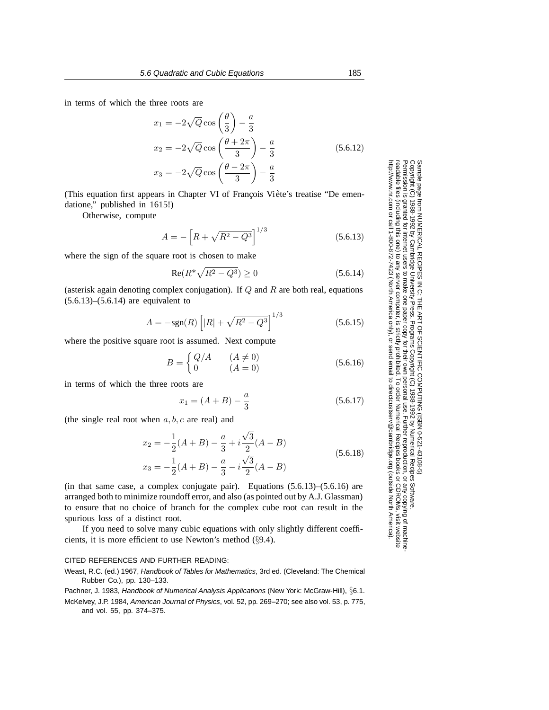in terms of which the three roots are

$$
x_1 = -2\sqrt{Q}\cos\left(\frac{\theta}{3}\right) - \frac{a}{3}
$$
  
\n
$$
x_2 = -2\sqrt{Q}\cos\left(\frac{\theta + 2\pi}{3}\right) - \frac{a}{3}
$$
(5.6.12)  
\n
$$
x_3 = -2\sqrt{Q}\cos\left(\frac{\theta - 2\pi}{3}\right) - \frac{a}{3}
$$

(This equation first appears in Chapter VI of François Viète's treatise "De emendatione," published in 1615!)

Otherwise, compute

$$
A = -\left[R + \sqrt{R^2 - Q^3}\right]^{1/3} \tag{5.6.13}
$$

where the sign of the square root is chosen to make

$$
Re(R^* \sqrt{R^2 - Q^3}) \ge 0
$$
\n(5.6.14)

(asterisk again denoting complex conjugation). If  $Q$  and  $R$  are both real, equations  $(5.6.13)$ – $(5.6.14)$  are equivalent to

$$
A = -\text{sgn}(R) \left[ |R| + \sqrt{R^2 - Q^3} \right]^{1/3} \tag{5.6.15}
$$

where the positive square root is assumed. Next compute

$$
B = \begin{cases} Q/A & (A \neq 0) \\ 0 & (A = 0) \end{cases} \tag{5.6.16}
$$

in terms of which the three roots are

$$
x_1 = (A + B) - \frac{a}{3} \tag{5.6.17}
$$

(the single real root when  $a, b, c$  are real) and

$$
x_2 = -\frac{1}{2}(A+B) - \frac{a}{3} + i\frac{\sqrt{3}}{2}(A-B)
$$
  

$$
x_3 = -\frac{1}{2}(A+B) - \frac{a}{3} - i\frac{\sqrt{3}}{2}(A-B)
$$
 (5.6.18)

(in that same case, a complex conjugate pair). Equations  $(5.6.13)$ – $(5.6.16)$  are arranged both to minimize roundoff error, and also (as pointed out by A.J. Glassman) to ensure that no choice of branch for the complex cube root can result in the spurious loss of a distinct root.

If you need to solve many cubic equations with only slightly different coefficients, it is more efficient to use Newton's method (§9.4).

## CITED REFERENCES AND FURTHER READING:

Weast, R.C. (ed.) 1967, Handbook of Tables for Mathematics, 3rd ed. (Cleveland: The Chemical Rubber Co.), pp. 130–133.

Pachner, J. 1983, Handbook of Numerical Analysis Applications (New York: McGraw-Hill), §6.1.

McKelvey, J.P. 1984, American Journal of Physics, vol. 52, pp. 269–270; see also vol. 53, p. 775, and vol. 55, pp. 374–375.

Permission is granted for internet users to make one paper copy for their own personal use. Further reproduction, or any copyin Copyright (C) 1988-1992 by Cambridge University Press.Programs Copyright (C) 1988-1992 by Numerical Recipes Software. Sample page from NUMERICAL RECIPES IN C: THE ART OF SCIENTIFIC COMPUTING (ISBN 0-521-43108-5) g of machinereadable files (including this one) to any servercomputer, is strictly prohibited. To order Numerical Recipes booksor CDROMs, visit website http://www.nr.com or call 1-800-872-7423 (North America only),or send email to directcustserv@cambridge.org (outside North America).